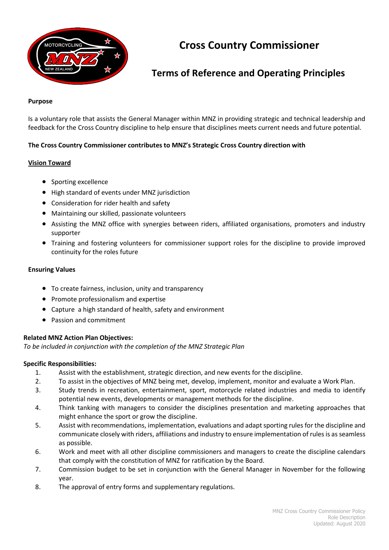

# **Cross Country Commissioner**

## **Terms of Reference and Operating Principles**

#### **Purpose**

Is a voluntary role that assists the General Manager within MNZ in providing strategic and technical leadership and feedback for the Cross Country discipline to help ensure that disciplines meets current needs and future potential.

## **The Cross Country Commissioner contributes to MNZ's Strategic Cross Country direction with**

### **Vision Toward**

- Sporting excellence
- High standard of events under MNZ jurisdiction
- Consideration for rider health and safety
- Maintaining our skilled, passionate volunteers
- Assisting the MNZ office with synergies between riders, affiliated organisations, promoters and industry supporter
- Training and fostering volunteers for commissioner support roles for the discipline to provide improved continuity for the roles future

#### **Ensuring Values**

- To create fairness, inclusion, unity and transparency
- Promote professionalism and expertise
- Capture a high standard of health, safety and environment
- Passion and commitment

### **Related MNZ Action Plan Objectives:**

*To be included in conjunction with the completion of the MNZ Strategic Plan*

### **Specific Responsibilities:**

- 1. Assist with the establishment, strategic direction, and new events for the discipline.
- 2. To assist in the objectives of MNZ being met, develop, implement, monitor and evaluate a Work Plan.
- 3. Study trends in recreation, entertainment, sport, motorcycle related industries and media to identify potential new events, developments or management methods for the discipline.
- 4. Think tanking with managers to consider the disciplines presentation and marketing approaches that might enhance the sport or grow the discipline.
- 5. Assist with recommendations, implementation, evaluations and adapt sporting rules for the discipline and communicate closely with riders, affiliations and industry to ensure implementation of rules is as seamless as possible.
- 6. Work and meet with all other discipline commissioners and managers to create the discipline calendars that comply with the constitution of MNZ for ratification by the Board.
- 7. Commission budget to be set in conjunction with the General Manager in November for the following year.
- 8. The approval of entry forms and supplementary regulations.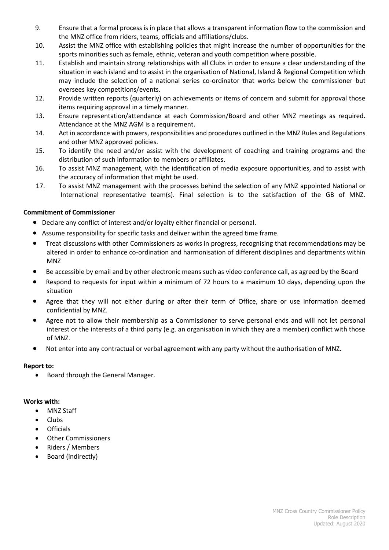- 9. Ensure that a formal process is in place that allows a transparent information flow to the commission and the MNZ office from riders, teams, officials and affiliations/clubs.
- 10. Assist the MNZ office with establishing policies that might increase the number of opportunities for the sports minorities such as female, ethnic, veteran and youth competition where possible.
- 11. Establish and maintain strong relationships with all Clubs in order to ensure a clear understanding of the situation in each island and to assist in the organisation of National, Island & Regional Competition which may include the selection of a national series co-ordinator that works below the commissioner but oversees key competitions/events.
- 12. Provide written reports (quarterly) on achievements or items of concern and submit for approval those items requiring approval in a timely manner.
- 13. Ensure representation/attendance at each Commission/Board and other MNZ meetings as required. Attendance at the MNZ AGM is a requirement.
- 14. Act in accordance with powers, responsibilities and procedures outlined in the MNZ Rules and Regulations and other MNZ approved policies.
- 15. To identify the need and/or assist with the development of coaching and training programs and the distribution of such information to members or affiliates.
- 16. To assist MNZ management, with the identification of media exposure opportunities, and to assist with the accuracy of information that might be used.
- 17. To assist MNZ management with the processes behind the selection of any MNZ appointed National or International representative team(s). Final selection is to the satisfaction of the GB of MNZ.

## **Commitment of Commissioner**

- Declare any conflict of interest and/or loyalty either financial or personal.
- Assume responsibility for specific tasks and deliver within the agreed time frame.
- Treat discussions with other Commissioners as works in progress, recognising that recommendations may be altered in order to enhance co-ordination and harmonisation of different disciplines and departments within MNZ
- Be accessible by email and by other electronic means such as video conference call, as agreed by the Board
- Respond to requests for input within a minimum of 72 hours to a maximum 10 days, depending upon the situation
- Agree that they will not either during or after their term of Office, share or use information deemed confidential by MNZ.
- Agree not to allow their membership as a Commissioner to serve personal ends and will not let personal interest or the interests of a third party (e.g. an organisation in which they are a member) conflict with those of MNZ.
- Not enter into any contractual or verbal agreement with any party without the authorisation of MNZ.

## **Report to:**

• Board through the General Manager.

## **Works with:**

- MNZ Staff
- Clubs
- Officials
- Other Commissioners
- Riders / Members
- Board (indirectly)